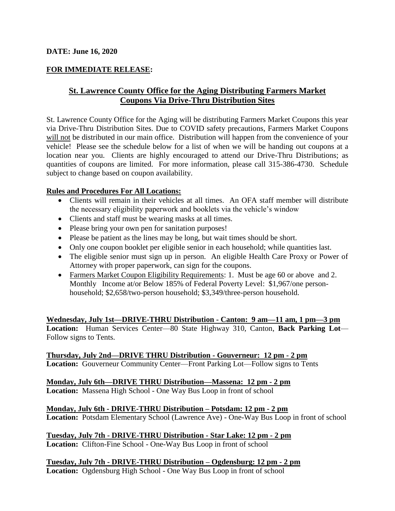## **FOR IMMEDIATE RELEASE:**

# **St. Lawrence County Office for the Aging Distributing Farmers Market Coupons Via Drive-Thru Distribution Sites**

St. Lawrence County Office for the Aging will be distributing Farmers Market Coupons this year via Drive-Thru Distribution Sites. Due to COVID safety precautions, Farmers Market Coupons will not be distributed in our main office. Distribution will happen from the convenience of your vehicle! Please see the schedule below for a list of when we will be handing out coupons at a location near you. Clients are highly encouraged to attend our Drive-Thru Distributions; as quantities of coupons are limited. For more information, please call 315-386-4730. Schedule subject to change based on coupon availability.

### **Rules and Procedures For All Locations:**

- Clients will remain in their vehicles at all times. An OFA staff member will distribute the necessary eligibility paperwork and booklets via the vehicle's window
- Clients and staff must be wearing masks at all times.
- Please bring your own pen for sanitation purposes!
- Please be patient as the lines may be long, but wait times should be short.
- Only one coupon booklet per eligible senior in each household; while quantities last.
- The eligible senior must sign up in person. An eligible Health Care Proxy or Power of Attorney with proper paperwork, can sign for the coupons.
- Farmers Market Coupon Eligibility Requirements: 1. Must be age 60 or above and 2. Monthly Income at/or Below 185% of Federal Poverty Level: \$1,967/one personhousehold; \$2,658/two-person household; \$3,349/three-person household.

**Wednesday, July 1st—DRIVE-THRU Distribution - Canton: 9 am—11 am, 1 pm—3 pm Location:** Human Services Center—80 State Highway 310, Canton, **Back Parking Lot**— Follow signs to Tents.

**Thursday, July 2nd—DRIVE THRU Distribution - Gouverneur: 12 pm - 2 pm Location:** Gouverneur Community Center—Front Parking Lot—Follow signs to Tents

### **Monday, July 6th—DRIVE THRU Distribution—Massena: 12 pm - 2 pm**

**Location:** Massena High School - One Way Bus Loop in front of school

#### **Monday, July 6th - DRIVE-THRU Distribution – Potsdam: 12 pm - 2 pm**

**Location:** Potsdam Elementary School (Lawrence Ave) - One-Way Bus Loop in front of school

**Tuesday, July 7th - DRIVE-THRU Distribution - Star Lake: 12 pm - 2 pm Location:** Clifton-Fine School - One-Way Bus Loop in front of school

**Tuesday, July 7th - DRIVE-THRU Distribution – Ogdensburg: 12 pm - 2 pm Location:** Ogdensburg High School - One Way Bus Loop in front of school